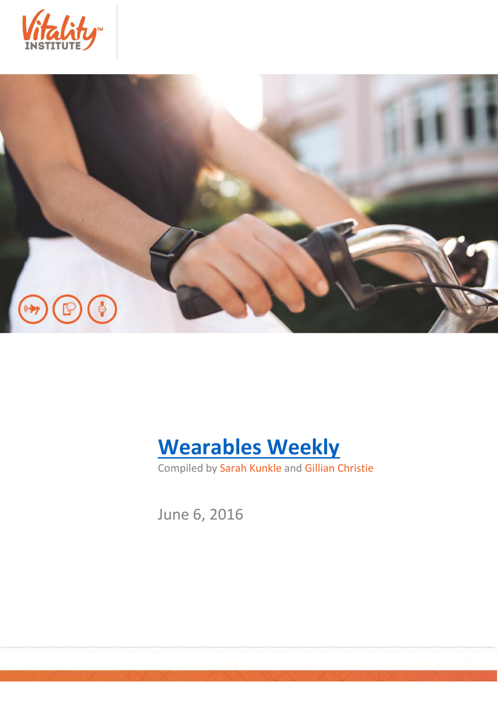





Compiled by Sarah Kunkle and Gillian Christie

June 6, 2016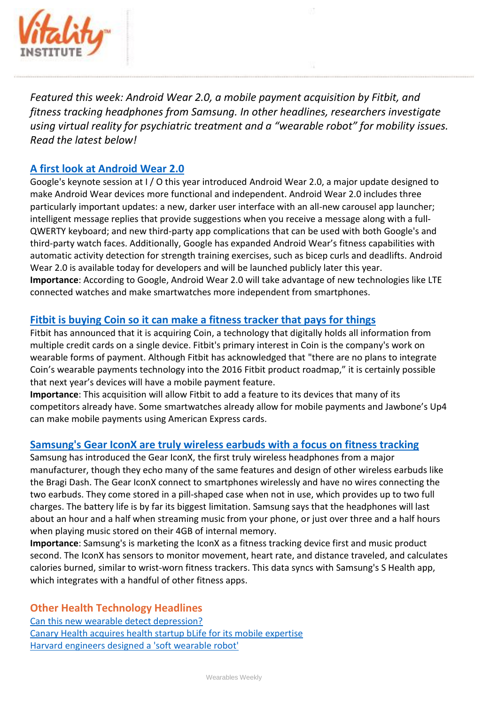

*Featured this week: Android Wear 2.0, a mobile payment acquisition by Fitbit, and fitness tracking headphones from Samsung. In other headlines, researchers investigate using virtual reality for psychiatric treatment and a "wearable robot" for mobility issues. Read the latest below!*

## **[A first look at Android Wear 2.0](http://www.theverge.com/2016/5/18/11699054/google-android-wear-2-0-hands-on-i-o)**

Google's keynote session at I / O this year introduced Android Wear 2.0, a major update designed to make Android Wear devices more functional and independent. Android Wear 2.0 includes three particularly important updates: a new, darker user interface with an all-new carousel app launcher; intelligent message replies that provide suggestions when you receive a message along with a full-QWERTY keyboard; and new third-party app complications that can be used with both Google's and third-party watch faces. Additionally, Google has expanded Android Wear's fitness capabilities with automatic activity detection for strength training exercises, such as bicep curls and deadlifts. Android Wear 2.0 is available today for developers and will be launched publicly later this year. **Importance**: According to Google, Android Wear 2.0 will take advantage of new technologies like LTE connected watches and make smartwatches more independent from smartphones.

## **[Fitbit is buying Coin so it can make a fitness tracker that pays](http://www.theverge.com/2016/5/18/11700658/fitbit-coin-acquisition-announced) for things**

Fitbit has announced that it is acquiring Coin, a technology that digitally holds all information from multiple credit cards on a single device. Fitbit's primary interest in Coin is the company's work on wearable forms of payment. Although Fitbit has acknowledged that "there are no plans to integrate Coin's wearable payments technology into the 2016 Fitbit product roadmap," it is certainly possible that next year's devices will have a mobile payment feature.

**Importance**: This acquisition will allow Fitbit to add a feature to its devices that many of its competitors already have. Some smartwatches already allow for mobile payments and Jawbone's Up4 can make mobile payments using American Express cards.

## **[Samsung's Gear IconX are truly wireless earbuds with a focus on fitness tracking](http://www.theverge.com/2016/6/2/11841388/samsung-gear-iconx-wireless-earbuds-fitness-tracking-hands-on)**

Samsung has introduced the Gear IconX, the first truly wireless headphones from a major manufacturer, though they echo many of the same features and design of other wireless earbuds like the Bragi Dash. The Gear IconX connect to smartphones wirelessly and have no wires connecting the two earbuds. They come stored in a pill-shaped case when not in use, which provides up to two full charges. The battery life is by far its biggest limitation. Samsung says that the headphones will last about an hour and a half when streaming music from your phone, or just over three and a half hours when playing music stored on their 4GB of internal memory.

**Importance**: Samsung's is marketing the IconX as a fitness tracking device first and music product second. The IconX has sensors to monitor movement, heart rate, and distance traveled, and calculates calories burned, similar to wrist-worn fitness trackers. This data syncs with Samsung's S Health app, which integrates with a handful of other fitness apps.

## **Other Health Technology Headlines**

[Can this new wearable detect depression?](http://readwrite.com/2016/05/23/health-wearable-monitors-patients-depression-ht4/) [Canary Health acquires health startup bLife for its mobile expertise](http://mobihealthnews.com/content/canary-health-acquires-health-startup-blife-its-mobile-expertise) [Harvard engineers designed a 'soft wearable robot'](http://www.engadget.com/2016/05/18/harvard-engineers-designed-a-soft-wearable-robot/)